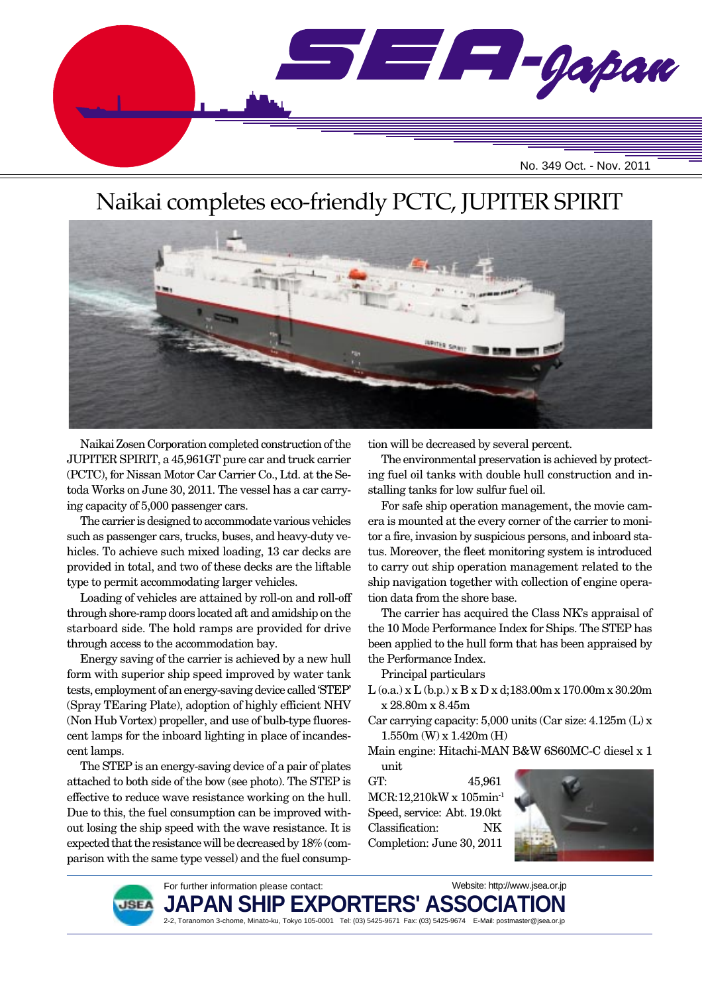

# Naikai completes eco-friendly PCTC, JUPITER SPIRIT



Naikai Zosen Corporation completed construction of the JUPITER SPIRIT, a 45,961GT pure car and truck carrier (PCTC), for Nissan Motor Car Carrier Co., Ltd. at the Setoda Works on June 30, 2011. The vessel has a car carrying capacity of 5,000 passenger cars.

The carrier is designed to accommodate various vehicles such as passenger cars, trucks, buses, and heavy-duty vehicles. To achieve such mixed loading, 13 car decks are provided in total, and two of these decks are the liftable type to permit accommodating larger vehicles.

Loading of vehicles are attained by roll-on and roll-off through shore-ramp doors located aft and amidship on the starboard side. The hold ramps are provided for drive through access to the accommodation bay.

Energy saving of the carrier is achieved by a new hull form with superior ship speed improved by water tank tests, employment of an energy-saving device called 'STEP' (Spray TEaring Plate), adoption of highly efficient NHV (Non Hub Vortex) propeller, and use of bulb-type fluorescent lamps for the inboard lighting in place of incandescent lamps.

The STEP is an energy-saving device of a pair of plates attached to both side of the bow (see photo). The STEP is effective to reduce wave resistance working on the hull. Due to this, the fuel consumption can be improved without losing the ship speed with the wave resistance. It is expected that the resistance will be decreased by 18% (comparison with the same type vessel) and the fuel consumption will be decreased by several percent.

The environmental preservation is achieved by protecting fuel oil tanks with double hull construction and installing tanks for low sulfur fuel oil.

For safe ship operation management, the movie camera is mounted at the every corner of the carrier to monitor a fire, invasion by suspicious persons, and inboard status. Moreover, the fleet monitoring system is introduced to carry out ship operation management related to the ship navigation together with collection of engine operation data from the shore base.

The carrier has acquired the Class NK's appraisal of the 10 Mode Performance Index for Ships. The STEP has been applied to the hull form that has been appraised by the Performance Index.

Principal particulars

- L (o.a.) x L (b.p.) x B x D x d;183.00m x 170.00m x 30.20m x 28.80m x 8.45m
- Car carrying capacity: 5,000 units (Car size: 4.125m (L) x 1.550m (W) x 1.420m (H)
- Main engine: Hitachi-MAN B&W 6S60MC-C diesel x 1 unit

GT: 45,961 MCR:12,210kW x 105min-1 Speed, service: Abt. 19.0kt Classification: NK Completion: June 30, 2011





For further information please contact: JAPAN SHIP EXPORTERS' ASSO 2-2, Toranomon 3-chome, Minato-ku, Tokyo 105-0001 Tel: (03) 5425-9671 Fax: (03) 5425-9674 E-Mail: postmaster@jsea.or.jp Website: http://www.jsea.or.jp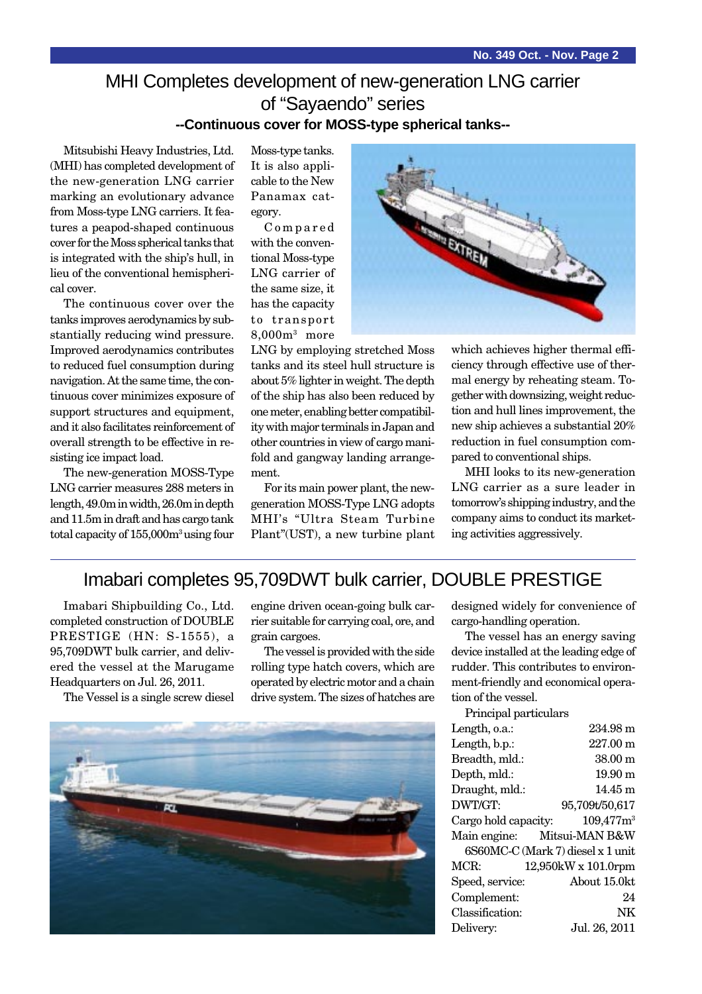### MHI Completes development of new-generation LNG carrier of "Sayaendo" series **--Continuous cover for MOSS-type spherical tanks--**

Mitsubishi Heavy Industries, Ltd. (MHI) has completed development of the new-generation LNG carrier marking an evolutionary advance from Moss-type LNG carriers. It features a peapod-shaped continuous cover for the Moss spherical tanks that is integrated with the ship's hull, in lieu of the conventional hemispherical cover.

The continuous cover over the tanks improves aerodynamics by substantially reducing wind pressure. Improved aerodynamics contributes to reduced fuel consumption during navigation. At the same time, the continuous cover minimizes exposure of support structures and equipment, and it also facilitates reinforcement of overall strength to be effective in resisting ice impact load.

The new-generation MOSS-Type LNG carrier measures 288 meters in length, 49.0m in width, 26.0m in depth and 11.5m in draft and has cargo tank total capacity of 155,000m<sup>3</sup> using four

Moss-type tanks. It is also applicable to the New Panamax category.

Compared with the conventional Moss-type LNG carrier of the same size, it has the capacity to transport 8,000m3 more

LNG by employing stretched Moss tanks and its steel hull structure is about 5% lighter in weight. The depth of the ship has also been reduced by one meter, enabling better compatibility with major terminals in Japan and other countries in view of cargo manifold and gangway landing arrangement.

For its main power plant, the newgeneration MOSS-Type LNG adopts MHI's "Ultra Steam Turbine Plant"(UST), a new turbine plant



which achieves higher thermal efficiency through effective use of thermal energy by reheating steam. Together with downsizing, weight reduction and hull lines improvement, the new ship achieves a substantial 20% reduction in fuel consumption compared to conventional ships.

MHI looks to its new-generation LNG carrier as a sure leader in tomorrow's shipping industry, and the company aims to conduct its marketing activities aggressively.

# Imabari completes 95,709DWT bulk carrier, DOUBLE PRESTIGE

Imabari Shipbuilding Co., Ltd. completed construction of DOUBLE PRESTIGE (HN: S-1555), a 95,709DWT bulk carrier, and delivered the vessel at the Marugame Headquarters on Jul. 26, 2011.

The Vessel is a single screw diesel

engine driven ocean-going bulk carrier suitable for carrying coal, ore, and grain cargoes.

The vessel is provided with the side rolling type hatch covers, which are operated by electric motor and a chain drive system. The sizes of hatches are



designed widely for convenience of cargo-handling operation.

The vessel has an energy saving device installed at the leading edge of rudder. This contributes to environment-friendly and economical operation of the vessel.

Principal particulars

| Length, o.a.:                     | 234.98 m                          |
|-----------------------------------|-----------------------------------|
| Length, b.p.:                     | 227.00 m                          |
| Breadth, mld.:                    | 38.00 m                           |
| Depth, mld.:                      | $19.90 \text{ m}$                 |
| Draught, mld.:                    | $14.45 \text{ m}$                 |
| DWT/GT:                           | 95,709t/50,617                    |
| Cargo hold capacity: $109,477m^3$ |                                   |
| Main engine: Mitsui-MAN B&W       |                                   |
|                                   | 6S60MC-C (Mark 7) diesel x 1 unit |
| MCR:                              | 12,950kW x 101.0rpm               |
| Speed, service:                   | About 15.0kt                      |
| Complement:                       | 24                                |
| Classification:                   | NΚ                                |
| Delivery:                         | Jul. 26, 2011                     |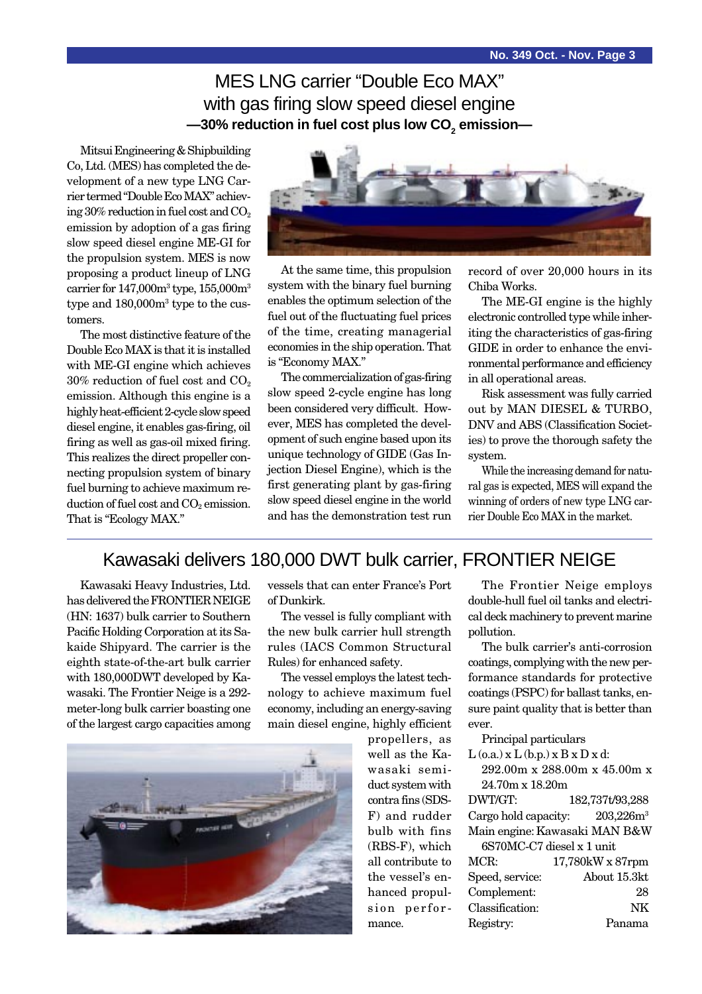MES LNG carrier "Double Eco MAX" with gas firing slow speed diesel engine —30% reduction in fuel cost plus low CO<sub>2</sub> emission—

Mitsui Engineering & Shipbuilding Co, Ltd. (MES) has completed the development of a new type LNG Carrier termed "Double Eco MAX" achieving  $30\%$  reduction in fuel cost and  $CO<sub>2</sub>$ emission by adoption of a gas firing slow speed diesel engine ME-GI for the propulsion system. MES is now proposing a product lineup of LNG carrier for  $147,000$ m<sup>3</sup> type,  $155,000$ m<sup>3</sup> type and 180,000m3 type to the customers.

The most distinctive feature of the Double Eco MAX is that it is installed with ME-GI engine which achieves 30% reduction of fuel cost and CO2 emission. Although this engine is a highly heat-efficient 2-cycle slow speed diesel engine, it enables gas-firing, oil firing as well as gas-oil mixed firing. This realizes the direct propeller connecting propulsion system of binary fuel burning to achieve maximum reduction of fuel cost and  $CO<sub>2</sub>$  emission. That is "Ecology MAX."



At the same time, this propulsion system with the binary fuel burning enables the optimum selection of the fuel out of the fluctuating fuel prices of the time, creating managerial economies in the ship operation. That is "Economy MAX."

The commercialization of gas-firing slow speed 2-cycle engine has long been considered very difficult. However, MES has completed the development of such engine based upon its unique technology of GIDE (Gas Injection Diesel Engine), which is the first generating plant by gas-firing slow speed diesel engine in the world and has the demonstration test run

record of over 20,000 hours in its Chiba Works.

The ME-GI engine is the highly electronic controlled type while inheriting the characteristics of gas-firing GIDE in order to enhance the environmental performance and efficiency in all operational areas.

Risk assessment was fully carried out by MAN DIESEL & TURBO, DNV and ABS (Classification Societies) to prove the thorough safety the system.

While the increasing demand for natural gas is expected, MES will expand the winning of orders of new type LNG carrier Double Eco MAX in the market.

### Kawasaki delivers 180,000 DWT bulk carrier, FRONTIER NEIGE

Kawasaki Heavy Industries, Ltd. has delivered the FRONTIER NEIGE (HN: 1637) bulk carrier to Southern Pacific Holding Corporation at its Sakaide Shipyard. The carrier is the eighth state-of-the-art bulk carrier with 180,000DWT developed by Kawasaki. The Frontier Neige is a 292 meter-long bulk carrier boasting one of the largest cargo capacities among vessels that can enter France's Port of Dunkirk.

The vessel is fully compliant with the new bulk carrier hull strength rules (IACS Common Structural Rules) for enhanced safety.

The vessel employs the latest technology to achieve maximum fuel economy, including an energy-saving main diesel engine, highly efficient



propellers, as well as the Kawasaki semiduct system with contra fins (SDS-F) and rudder bulb with fins (RBS-F), which all contribute to the vessel's enhanced propulsion performance.

The Frontier Neige employs double-hull fuel oil tanks and electrical deck machinery to prevent marine pollution.

The bulk carrier's anti-corrosion coatings, complying with the new performance standards for protective coatings (PSPC) for ballast tanks, ensure paint quality that is better than ever.

|                                | Principal particulars                    |                                   |  |
|--------------------------------|------------------------------------------|-----------------------------------|--|
|                                | $L$ (o.a.) x $L$ (b.p.) x $B$ x $D$ x d: |                                   |  |
|                                | 292.00m x 288.00m x 45.00m x             |                                   |  |
|                                | $24.70m \times 18.20m$                   |                                   |  |
|                                | DWT/GT:                                  | 182,737t/93,288                   |  |
|                                |                                          | Cargo hold capacity: $203,226m^3$ |  |
|                                | Main engine: Kawasaki MAN B&W            |                                   |  |
| $6S70MC-C7$ diesel $x 1$ unit. |                                          |                                   |  |
|                                | MCR:                                     | 17,780kW x 87rpm                  |  |
|                                | Speed, service:                          | About 15.3kt                      |  |
|                                | Complement:                              | 28                                |  |
|                                | Classification:                          | NK                                |  |
|                                | Registry:                                |                                   |  |
|                                |                                          |                                   |  |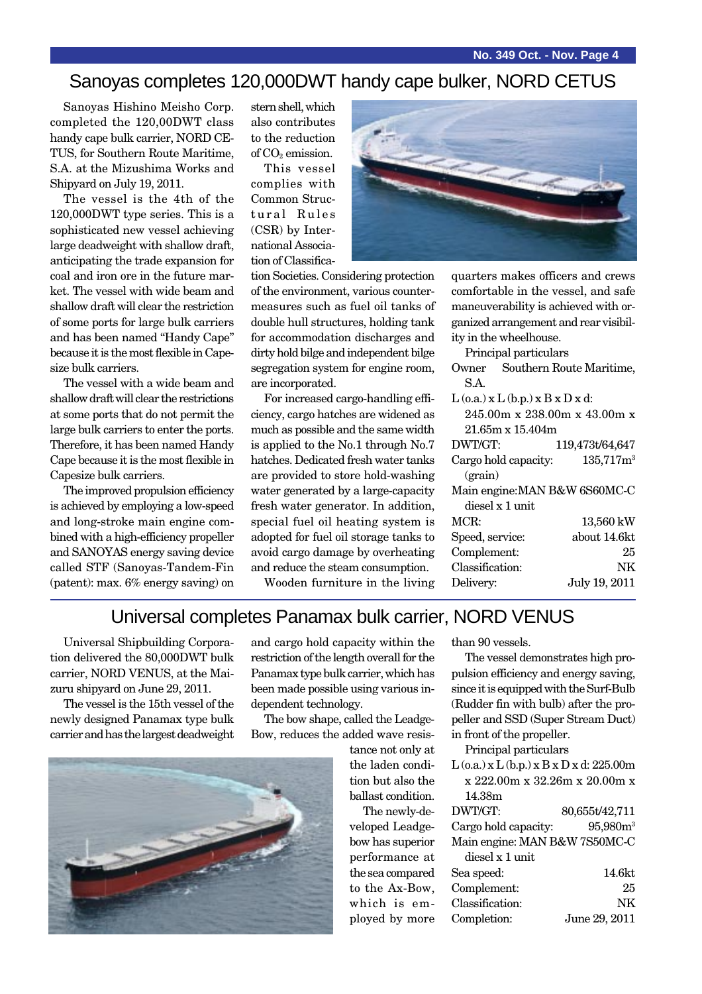### Sanoyas completes 120,000DWT handy cape bulker, NORD CETUS

Sanoyas Hishino Meisho Corp. completed the 120,00DWT class handy cape bulk carrier, NORD CE-TUS, for Southern Route Maritime, S.A. at the Mizushima Works and Shipyard on July 19, 2011.

The vessel is the 4th of the 120,000DWT type series. This is a sophisticated new vessel achieving large deadweight with shallow draft, anticipating the trade expansion for coal and iron ore in the future market. The vessel with wide beam and shallow draft will clear the restriction of some ports for large bulk carriers and has been named "Handy Cape" because it is the most flexible in Capesize bulk carriers.

The vessel with a wide beam and shallow draft will clear the restrictions at some ports that do not permit the large bulk carriers to enter the ports. Therefore, it has been named Handy Cape because it is the most flexible in Capesize bulk carriers.

The improved propulsion efficiency is achieved by employing a low-speed and long-stroke main engine combined with a high-efficiency propeller and SANOYAS energy saving device called STF (Sanoyas-Tandem-Fin (patent): max. 6% energy saving) on

stern shell, which also contributes to the reduction of  $CO<sub>2</sub>$  emission.

This vessel complies with Common Structural Rules (CSR) by International Association of Classifica-



tion Societies. Considering protection of the environment, various countermeasures such as fuel oil tanks of double hull structures, holding tank for accommodation discharges and dirty hold bilge and independent bilge segregation system for engine room, are incorporated.

For increased cargo-handling efficiency, cargo hatches are widened as much as possible and the same width is applied to the No.1 through No.7 hatches. Dedicated fresh water tanks are provided to store hold-washing water generated by a large-capacity fresh water generator. In addition, special fuel oil heating system is adopted for fuel oil storage tanks to avoid cargo damage by overheating and reduce the steam consumption. Wooden furniture in the living

quarters makes officers and crews comfortable in the vessel, and safe maneuverability is achieved with organized arrangement and rear visibility in the wheelhouse.

Principal particulars

|                 |                                          | Owner Southern Route Maritime,    |
|-----------------|------------------------------------------|-----------------------------------|
| S.A.            |                                          |                                   |
|                 | $L$ (o.a.) x $L$ (b.p.) x $B$ x $D$ x d: |                                   |
|                 |                                          | 245.00m x 238.00m x 43.00m x      |
|                 | $21.65m \times 15.404m$                  |                                   |
| DWT/GT:         |                                          | 119,473t/64,647                   |
|                 |                                          | Cargo hold capacity: $135,717m^3$ |
| (grain)         |                                          |                                   |
|                 |                                          | Main engine: MAN B&W 6S60MC-C     |
|                 | diesel x 1 unit                          |                                   |
| MCR:            |                                          | 13,560 kW                         |
| Speed, service: |                                          | about 14.6kt                      |
| Complement:     |                                          | 25                                |
| Classification: |                                          | NΚ                                |
| Delivery:       |                                          | July 19, 2011                     |
|                 |                                          |                                   |

### Universal completes Panamax bulk carrier, NORD VENUS

Universal Shipbuilding Corporation delivered the 80,000DWT bulk carrier, NORD VENUS, at the Maizuru shipyard on June 29, 2011.

The vessel is the 15th vessel of the newly designed Panamax type bulk carrier and has the largest deadweight



The bow shape, called the Leadge-Bow, reduces the added wave resis-

> tance not only at the laden condition but also the ballast condition.

The newly-developed Leadgebow has superior performance at the sea compared to the Ax-Bow, which is employed by more than 90 vessels.

The vessel demonstrates high propulsion efficiency and energy saving, since it is equipped with the Surf-Bulb (Rudder fin with bulb) after the propeller and SSD (Super Stream Duct) in front of the propeller.

Principal particulars

 $L$  (o.a.) x  $L$  (b.p.) x  $B$  x  $D$  x d: 225.00m x 222.00m x 32.26m x 20.00m x 14.38m

| DWT/GT:                       | 80,655t/42,711       |
|-------------------------------|----------------------|
| Cargo hold capacity:          | 95,980m <sup>3</sup> |
| Main engine: MAN B&W 7S50MC-C |                      |
| diesel x 1 unit               |                      |
| Sea speed:                    | 14.6kt               |
| Complement:                   | 25                   |
| Classification:               | NK                   |
| Completion:                   | June 29, 2011        |

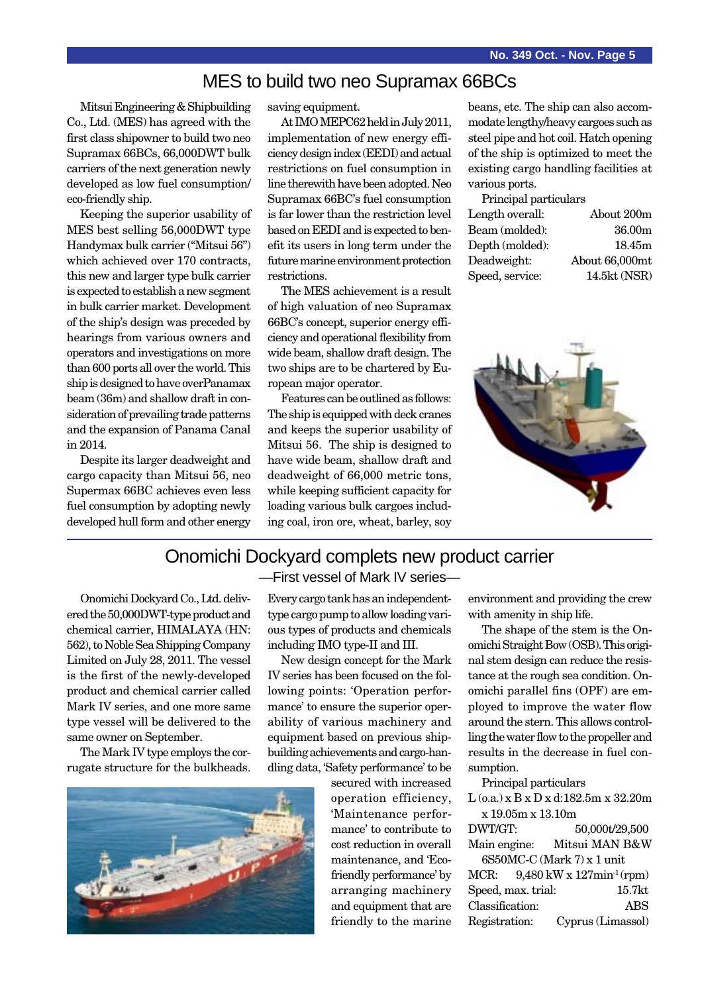### MES to build two neo Supramax 66BCs

Mitsui Engineering & Shipbuilding Co., Ltd. (MES) has agreed with the first class shipowner to build two neo Supramax 66BCs, 66,000DWT bulk carriers of the next generation newly developed as low fuel consumption/ eco-friendly ship.

Keeping the superior usability of MES best selling 56,000DWT type Handymax bulk carrier ("Mitsui 56") which achieved over 170 contracts, this new and larger type bulk carrier is expected to establish a new segment in bulk carrier market. Development of the ship's design was preceded by hearings from various owners and operators and investigations on more than 600 ports all over the world. This ship is designed to have overPanamax beam (36m) and shallow draft in consideration of prevailing trade patterns and the expansion of Panama Canal in 2014.

Despite its larger deadweight and cargo capacity than Mitsui 56, neo Supermax 66BC achieves even less fuel consumption by adopting newly developed hull form and other energy saving equipment.

At IMO MEPC62 held in July 2011, implementation of new energy efficiency design index (EEDI) and actual restrictions on fuel consumption in line therewith have been adopted. Neo Supramax 66BC's fuel consumption is far lower than the restriction level based on EEDI and is expected to benefit its users in long term under the future marine environment protection restrictions.

The MES achievement is a result of high valuation of neo Supramax 66BC's concept, superior energy efficiency and operational flexibility from wide beam, shallow draft design. The two ships are to be chartered by European major operator.

Features can be outlined as follows: The ship is equipped with deck cranes and keeps the superior usability of Mitsui 56. The ship is designed to have wide beam, shallow draft and deadweight of 66,000 metric tons, while keeping sufficient capacity for loading various bulk cargoes including coal, iron ore, wheat, barley, soy

beans, etc. The ship can also accommodate lengthy/heavy cargoes such as steel pipe and hot coil. Hatch opening of the ship is optimized to meet the existing cargo handling facilities at various ports.

| Principal particulars |                |  |
|-----------------------|----------------|--|
| Length overall:       | About 200m     |  |
| Beam (molded):        | 36.00m         |  |
| Depth (molded):       | 18.45m         |  |
| Deadweight:           | About 66,000mt |  |
| Speed, service:       | 14.5kt (NSR)   |  |



#### Onomichi Dockyard complets new product carrier —First vessel of Mark IV series—

Onomichi Dockyard Co., Ltd. delivered the 50,000DWT-type product and chemical carrier, HIMALAYA (HN: 562), to Noble Sea Shipping Company Limited on July 28, 2011. The vessel is the first of the newly-developed product and chemical carrier called Mark IV series, and one more same type vessel will be delivered to the same owner on September.

The Mark IV type employs the corrugate structure for the bulkheads.



Every cargo tank has an independenttype cargo pump to allow loading various types of products and chemicals including IMO type-II and III.

New design concept for the Mark IV series has been focused on the following points: 'Operation performance' to ensure the superior operability of various machinery and equipment based on previous shipbuilding achievements and cargo-handling data, 'Safety performance' to be

> secured with increased operation efficiency, 'Maintenance performance' to contribute to cost reduction in overall maintenance, and 'Ecofriendly performance' by arranging machinery and equipment that are friendly to the marine

environment and providing the crew with amenity in ship life.

The shape of the stem is the Onomichi Straight Bow (OSB). This original stem design can reduce the resistance at the rough sea condition. Onomichi parallel fins (OPF) are employed to improve the water flow around the stern. This allows controlling the water flow to the propeller and results in the decrease in fuel consumption.

Principal particulars L (o.a.) x B x D x d:182.5m x 32.20m x 19.05m x 13.10m DWT/GT: 50,000t/29,500 Main engine: Mitsui MAN B&W 6S50MC-C (Mark 7) x 1 unit MCR: 9,480 kW x 127min-1 (rpm) Speed, max. trial: 15.7kt Classification: ABS Registration: Cyprus (Limassol)